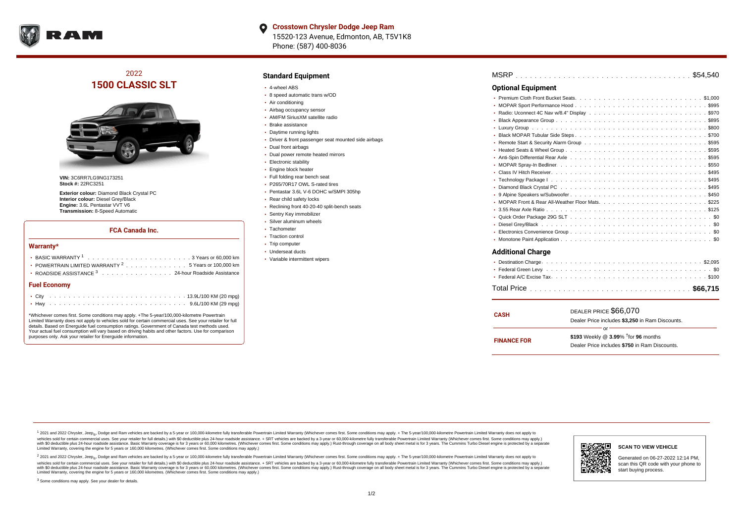

# 2022 **1500 CLASSIC SLT**



**VIN:** 3C6RR7LG9NG173251 **Stock #:** 22RC3251

**Exterior colour:** Diamond Black Crystal PC **Interior colour:** Diesel Grey/Black **Engine:** 3.6L Pentastar VVT V6 **Transmission:** 8-Speed Automatic

#### **FCA Canada Inc.**

#### **Warranty\***

| POWERTRAIN LIMITED WARRANTY $^2$ 5 Years or 100,000 km<br>• ROADSIDE ASSISTANCE 3 24-hour Roadside Assistance |  |  |  |  |  |  |  |  |  |  |  |  |  |  |  |
|---------------------------------------------------------------------------------------------------------------|--|--|--|--|--|--|--|--|--|--|--|--|--|--|--|
| <b>Fuel Economy</b>                                                                                           |  |  |  |  |  |  |  |  |  |  |  |  |  |  |  |
|                                                                                                               |  |  |  |  |  |  |  |  |  |  |  |  |  |  |  |

\*Whichever comes first. Some conditions may apply. +The 5-year/100,000-kilometre Powertrain Limited Warranty does not apply to vehicles sold for certain commercial uses. See your retailer for full details. Based on Energuide fuel consumption ratings. Government of Canada test methods used. Your actual fuel consumption will vary based on driving habits and other factors. Use for comparison purposes only. Ask your retailer for Energuide information.

### **Standard Equipment**

- 4-wheel ABS
- 8 speed automatic trans w/OD
- Air conditioning
- Airbag occupancy sensor
- AM/FM SiriusXM satellite radio
- Brake assistance
- Daytime running lights
- Driver & front passenger seat mounted side airbags
- Dual front airbags
- Dual power remote heated mirrors
- **Electronic stability**
- Engine block heater
- Full folding rear bench seat
- P265/70R17 OWL S-rated tires
- Pentastar 3.6L V-6 DOHC w/SMPI 305hp
- Rear child safety locks
- Reclining front 40-20-40 split-bench seats
- Sentry Key immobilizer
- Silver aluminum wheels
- Tachometer
- Traction control • Trip computer
- Underseat ducts
- Variable intermittent wipers

| <b>Optional Equipment</b> |  |
|---------------------------|--|
|                           |  |
|                           |  |
|                           |  |
|                           |  |
|                           |  |
|                           |  |
|                           |  |
|                           |  |
|                           |  |
|                           |  |
|                           |  |
|                           |  |
|                           |  |
|                           |  |
|                           |  |
|                           |  |
|                           |  |

- . . . . . . . . . . . . . . . . . . . . . . . . . . . . . . . . . . . . . . . . . . . . . . Diesel Grey/Black \$0 . . . . . . . . . . . . . . . . . . . . . . . . . . . . . . . . . . . . . . . . . . . . . . Electronics Convenience Group \$0
- . . . . . . . . . . . . . . . . . . . . . . . . . . . . . . . . . . . . . . . . . . . . . . Monotone Paint Application \$0

## **Additional Charge**

| <b>CASH</b>        | DEALER PRICE \$66,070<br>Dealer Price includes \$3.250 in Ram Discounts.                            |  |  |  |  |  |  |
|--------------------|-----------------------------------------------------------------------------------------------------|--|--|--|--|--|--|
| <b>FINANCE FOR</b> | \$193 Weekly @ $3.99\%$ <sup>†</sup> for 96 months<br>Dealer Price includes \$750 in Ram Discounts. |  |  |  |  |  |  |

<sup>1</sup> 2021 and 2022 Chrysler, Jeep<sub>®</sub>, Dodge and Ram vehicles are backed by a 5-year or 100,000-kilometre fully transferable Powertrain Limited Warranty (Whichever comes first. Some conditions may apply. + The 5-year/100,000 debt of the Second relationship and property in the Second relations that with Soleculture and Second the Second relation of the Second relation of the Second relation of the Second relation of the Second relation of the S ventals assume that the control of the control of the control of the control of the control of the control of the control of the control of the control of the control of the control of the control of the control of the con Limited Warranty, covering the engine for 5 years or 160,000 kilometres. (Whichever comes first. Some conditions may apply.)

2 2021 and 2022 Chrysler, Jeep<sub>®</sub>, Dodge and Ram vehicles are backed by a 5-year or 100,000-kilometre fully transferable Powertrain Limited Warranty (Whichever comes first. Some conditions may apply. + The 5-year/100,000-k vehicles sold for certain commercial uses. See your retailer for full details.) with SO deductible plus 24-hour roadside assistance. + SRT vehicles are backed by a 3-year or 60.000-kilometre fully transferable Powertrain L with S0 deductible plus 24-hour roadside assistance. Basic Warranty coverage is for 3 years or 60,000 kilometres. (Whichever comes first. Some conditions may apply.) Rust-through coverage on all body sheet metal is for 3 y



#### **SCAN TO VIEW VEHICLE**

Generated on 06-27-2022 12:14 PM, scan this QR code with your phone to start buying process.

<sup>3</sup> Some conditions may apply. See your dealer for details.